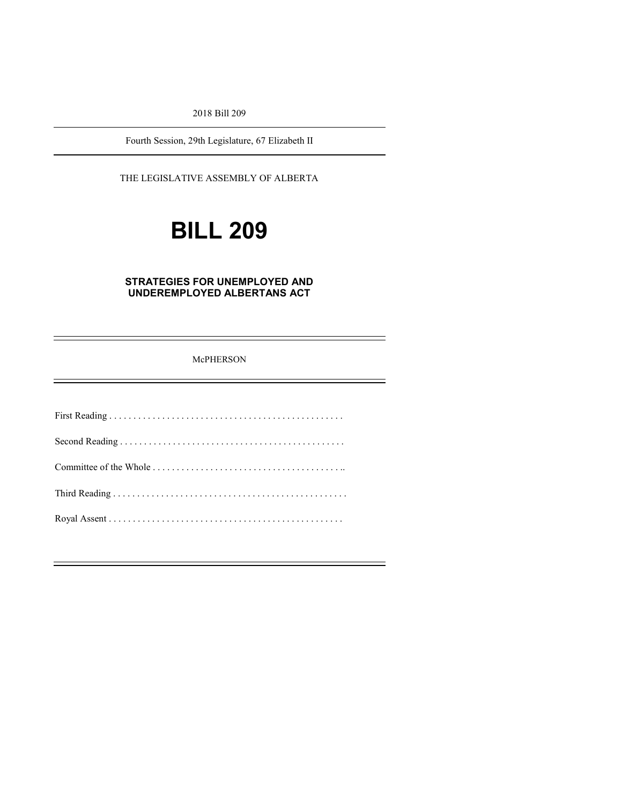2018 Bill 209

Fourth Session, 29th Legislature, 67 Elizabeth II

THE LEGISLATIVE ASSEMBLY OF ALBERTA

# **BILL 209**

#### **STRATEGIES FOR UNEMPLOYED AND UNDEREMPLOYED ALBERTANS ACT**

#### McPHERSON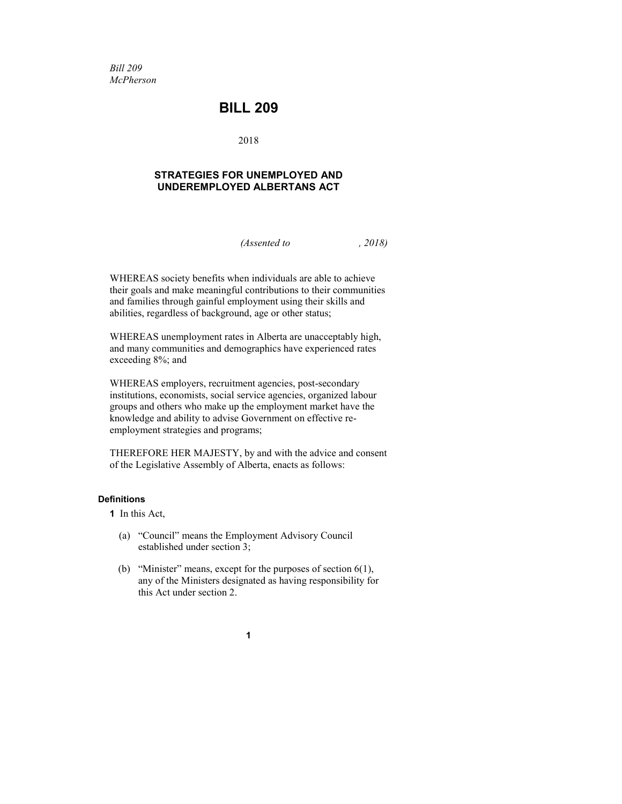*Bill 209 McPherson*

### **BILL 209**

#### 2018

#### **STRATEGIES FOR UNEMPLOYED AND UNDEREMPLOYED ALBERTANS ACT**

*(Assented to , 2018)*

WHEREAS society benefits when individuals are able to achieve their goals and make meaningful contributions to their communities and families through gainful employment using their skills and abilities, regardless of background, age or other status;

WHEREAS unemployment rates in Alberta are unacceptably high, and many communities and demographics have experienced rates exceeding 8%; and

WHEREAS employers, recruitment agencies, post-secondary institutions, economists, social service agencies, organized labour groups and others who make up the employment market have the knowledge and ability to advise Government on effective reemployment strategies and programs;

THEREFORE HER MAJESTY, by and with the advice and consent of the Legislative Assembly of Alberta, enacts as follows:

#### **Definitions**

- **1** In this Act,
	- (a) "Council" means the Employment Advisory Council established under section 3;
	- (b) "Minister" means, except for the purposes of section 6(1), any of the Ministers designated as having responsibility for this Act under section 2.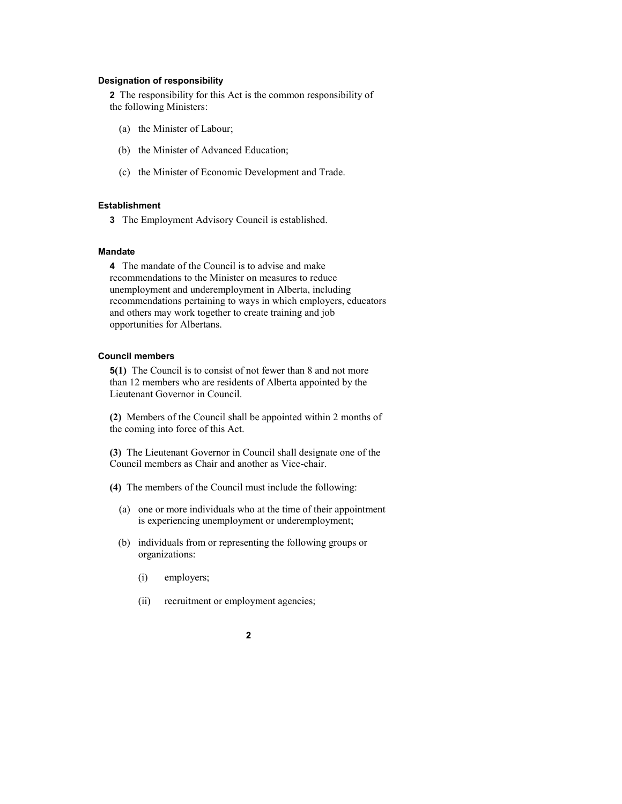#### **Designation of responsibility**

**2** The responsibility for this Act is the common responsibility of the following Ministers:

- (a) the Minister of Labour;
- (b) the Minister of Advanced Education;
- (c) the Minister of Economic Development and Trade.

#### **Establishment**

**3** The Employment Advisory Council is established.

#### **Mandate**

**4** The mandate of the Council is to advise and make recommendations to the Minister on measures to reduce unemployment and underemployment in Alberta, including recommendations pertaining to ways in which employers, educators and others may work together to create training and job opportunities for Albertans.

#### **Council members**

**5(1)** The Council is to consist of not fewer than 8 and not more than 12 members who are residents of Alberta appointed by the Lieutenant Governor in Council.

**(2)** Members of the Council shall be appointed within 2 months of the coming into force of this Act.

**(3)** The Lieutenant Governor in Council shall designate one of the Council members as Chair and another as Vice-chair.

**(4)** The members of the Council must include the following:

- (a) one or more individuals who at the time of their appointment is experiencing unemployment or underemployment;
- (b) individuals from or representing the following groups or organizations:
	- (i) employers;
	- (ii) recruitment or employment agencies;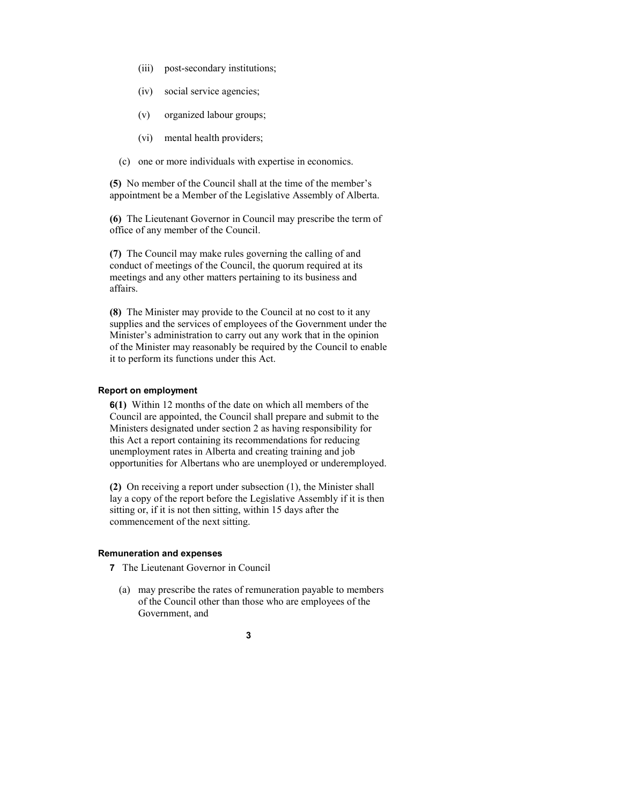- (iii) post-secondary institutions;
- (iv) social service agencies;
- (v) organized labour groups;
- (vi) mental health providers;
- (c) one or more individuals with expertise in economics.

**(5)** No member of the Council shall at the time of the member's appointment be a Member of the Legislative Assembly of Alberta.

**(6)** The Lieutenant Governor in Council may prescribe the term of office of any member of the Council.

**(7)** The Council may make rules governing the calling of and conduct of meetings of the Council, the quorum required at its meetings and any other matters pertaining to its business and affairs.

**(8)** The Minister may provide to the Council at no cost to it any supplies and the services of employees of the Government under the Minister's administration to carry out any work that in the opinion of the Minister may reasonably be required by the Council to enable it to perform its functions under this Act.

#### **Report on employment**

**6(1)** Within 12 months of the date on which all members of the Council are appointed, the Council shall prepare and submit to the Ministers designated under section 2 as having responsibility for this Act a report containing its recommendations for reducing unemployment rates in Alberta and creating training and job opportunities for Albertans who are unemployed or underemployed.

**(2)** On receiving a report under subsection (1), the Minister shall lay a copy of the report before the Legislative Assembly if it is then sitting or, if it is not then sitting, within 15 days after the commencement of the next sitting.

#### **Remuneration and expenses**

- **7** The Lieutenant Governor in Council
	- (a) may prescribe the rates of remuneration payable to members of the Council other than those who are employees of the Government, and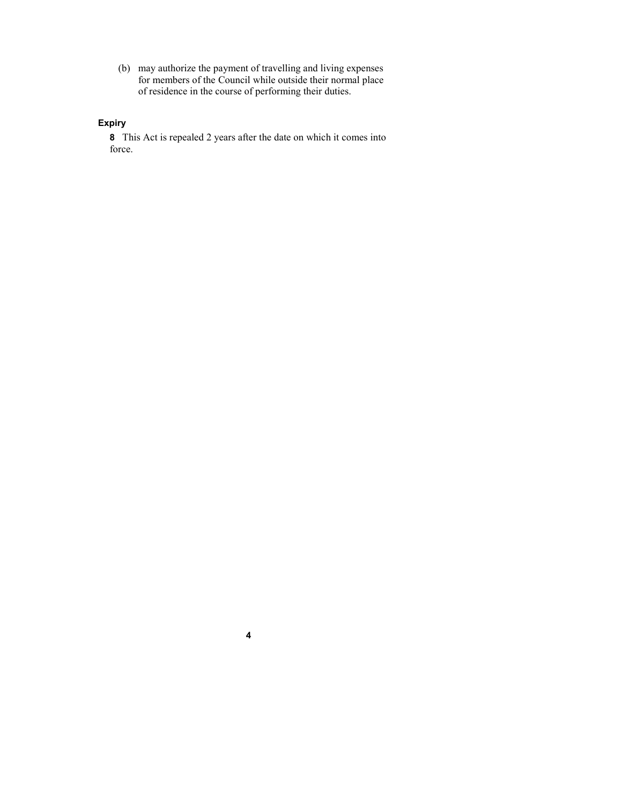(b) may authorize the payment of travelling and living expenses for members of the Council while outside their normal place of residence in the course of performing their duties.

#### **Expiry**

**8** This Act is repealed 2 years after the date on which it comes into force.